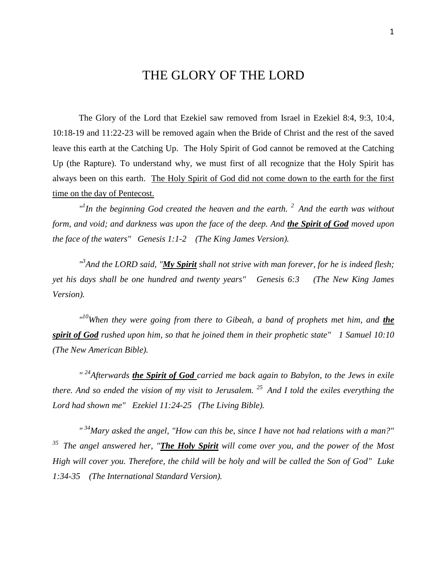## THE GLORY OF THE LORD

The Glory of the Lord that Ezekiel saw removed from Israel in Ezekiel 8:4, 9:3, 10:4, 10:18-19 and 11:22-23 will be removed again when the Bride of Christ and the rest of the saved leave this earth at the Catching Up. The Holy Spirit of God cannot be removed at the Catching Up (the Rapture). To understand why, we must first of all recognize that the Holy Spirit has always been on this earth. The Holy Spirit of God did not come down to the earth for the first time on the day of Pentecost.

*" 1 In the beginning God created the heaven and the earth. <sup>2</sup>And the earth was without form, and void; and darkness was upon the face of the deep. And the Spirit of God moved upon the face of the waters" Genesis 1:1-2 (The King James Version).*

*" 3 And the LORD said, "My Spirit shall not strive with man forever, for he is indeed flesh; yet his days shall be one hundred and twenty years" Genesis 6:3 (The New King James Version).*

<sup>*n*10</sup>When they were going from there to Gibeah, a band of prophets met him, and *the spirit of God rushed upon him, so that he joined them in their prophetic state" 1 Samuel 10:10 (The New American Bible).*

*" <sup>24</sup>Afterwards the Spirit of God carried me back again to Babylon, to the Jews in exile there. And so ended the vision of my visit to Jerusalem. <sup>25</sup>And I told the exiles everything the Lord had shown me" Ezekiel 11:24-25 (The Living Bible).*

*" <sup>34</sup>Mary asked the angel, "How can this be, since I have not had relations with a man?" <sup>35</sup>The angel answered her, "The Holy Spirit will come over you, and the power of the Most High will cover you. Therefore, the child will be holy and will be called the Son of God" Luke 1:34-35 (The International Standard Version).*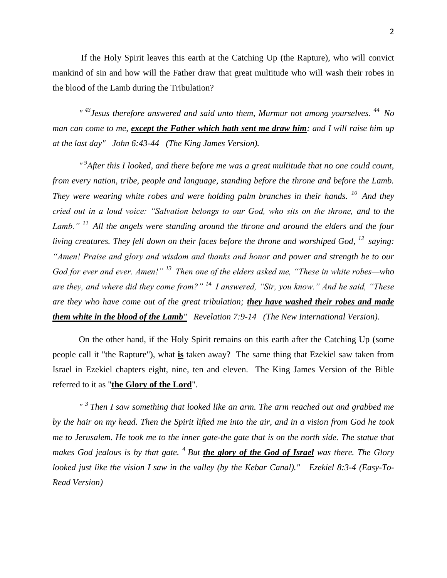If the Holy Spirit leaves this earth at the Catching Up (the Rapture), who will convict mankind of sin and how will the Father draw that great multitude who will wash their robes in the blood of the Lamb during the Tribulation?

*" <sup>43</sup>Jesus therefore answered and said unto them, Murmur not among yourselves. <sup>44</sup>No man can come to me, except the Father which hath sent me draw him: and I will raise him up at the last day" John 6:43-44 (The King James Version).*

<sup>"9</sup>After this I looked, and there before me was a great multitude that no one could count, *from every nation, tribe, people and language, standing before the throne and before the Lamb. They were wearing white robes and were holding palm branches in their hands. <sup>10</sup>And they cried out in a loud voice: "Salvation belongs to our God, who sits on the throne, and to the Lamb." <sup>11</sup>All the angels were standing around the throne and around the elders and the four living creatures. They fell down on their faces before the throne and worshiped God, <sup>12</sup> <i>saving: "Amen! Praise and glory and wisdom and thanks and honor and power and strength be to our God for ever and ever. Amen!" <sup>13</sup>Then one of the elders asked me, "These in white robes—who are they, and where did they come from?" <sup>14</sup>I answered, "Sir, you know." And he said, "These are they who have come out of the great tribulation; they have washed their robes and made them white in the blood of the Lamb" Revelation 7:9-14 (The New International Version).*

On the other hand, if the Holy Spirit remains on this earth after the Catching Up (some people call it "the Rapture"), what **is** taken away? The same thing that Ezekiel saw taken from Israel in Ezekiel chapters eight, nine, ten and eleven. The King James Version of the Bible referred to it as "**the Glory of the Lord**".

*" <sup>3</sup>Then I saw something that looked like an arm. The arm reached out and grabbed me by the hair on my head. Then the Spirit lifted me into the air, and in a vision from God he took me to Jerusalem. He took me to the inner gate-the gate that is on the north side. The statue that makes God jealous is by that gate. <sup>4</sup>But the glory of the God of Israel was there. The Glory looked just like the vision I saw in the valley (by the Kebar Canal)." Ezekiel 8:3-4 (Easy-To-Read Version)*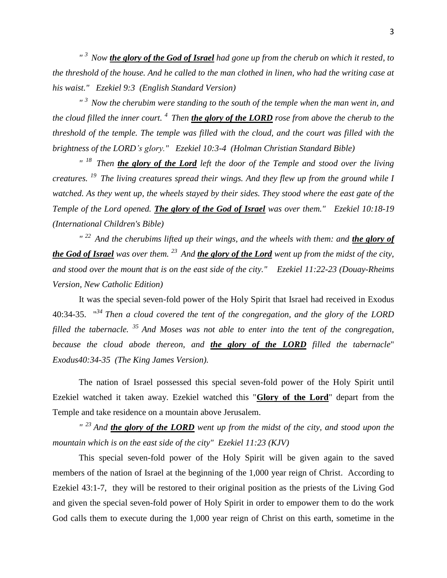*" <sup>3</sup>Now the glory of the God of Israel had gone up from the cherub on which it rested, to the threshold of the house. And he called to the man clothed in linen, who had the writing case at his waist." Ezekiel 9:3 (English Standard Version)*

*" <sup>3</sup>Now the cherubim were standing to the south of the temple when the man went in, and the cloud filled the inner court. <sup>4</sup>Then the glory of the LORD rose from above the cherub to the threshold of the temple. The temple was filled with the cloud, and the court was filled with the brightness of the LORD's glory." Ezekiel 10:3-4 (Holman Christian Standard Bible)*

<sup>" 18</sup> Then **the glory of the Lord** left the door of the Temple and stood over the living *creatures. <sup>19</sup>The living creatures spread their wings. And they flew up from the ground while I watched. As they went up, the wheels stayed by their sides. They stood where the east gate of the Temple of the Lord opened. The glory of the God of Israel was over them." Ezekiel 10:18-19 (International Children's Bible)*

<sup>" 22</sup> And the cherubims lifted up their wings, and the wheels with them: and **the glory of** *the God of Israel was over them. <sup>23</sup>And the glory of the Lord went up from the midst of the city, and stood over the mount that is on the east side of the city." Ezekiel 11:22-23 (Douay-Rheims Version, New Catholic Edition)*

It was the special seven-fold power of the Holy Spirit that Israel had received in Exodus 40:34-35. " *<sup>34</sup>Then a cloud covered the tent of the congregation, and the glory of the LORD filled the tabernacle. <sup>35</sup>And Moses was not able to enter into the tent of the congregation, because the cloud abode thereon, and the glory of the LORD filled the tabernacle*" *Exodus40:34-35 (The King James Version).*

The nation of Israel possessed this special seven-fold power of the Holy Spirit until Ezekiel watched it taken away. Ezekiel watched this "**Glory of the Lord**" depart from the Temple and take residence on a mountain above Jerusalem.

<sup>"</sup> <sup>23</sup> And **the glory of the LORD** went up from the midst of the city, and stood upon the *mountain which is on the east side of the city" Ezekiel 11:23 (KJV)*

This special seven-fold power of the Holy Spirit will be given again to the saved members of the nation of Israel at the beginning of the 1,000 year reign of Christ. According to Ezekiel 43:1-7, they will be restored to their original position as the priests of the Living God and given the special seven-fold power of Holy Spirit in order to empower them to do the work God calls them to execute during the 1,000 year reign of Christ on this earth, sometime in the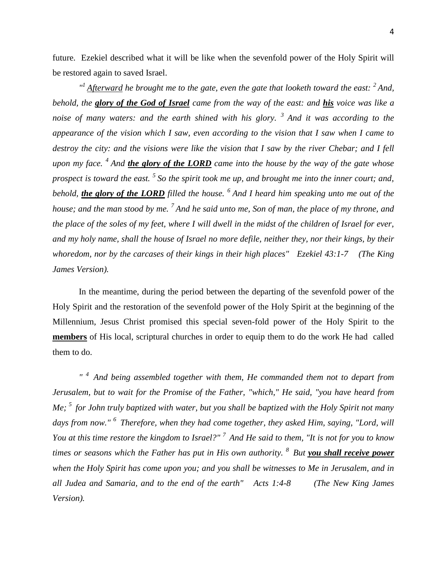future. Ezekiel described what it will be like when the sevenfold power of the Holy Spirit will be restored again to saved Israel.

*" <sup>1</sup>Afterward he brought me to the gate, even the gate that looketh toward the east: <sup>2</sup>And, behold, the glory of the God of Israel came from the way of the east: and his voice was like a noise of many waters: and the earth shined with his glory. <sup>3</sup>And it was according to the appearance of the vision which I saw, even according to the vision that I saw when I came to destroy the city: and the visions were like the vision that I saw by the river Chebar; and I fell upon my face. <sup>4</sup>And the glory of the LORD came into the house by the way of the gate whose prospect is toward the east. <sup>5</sup>So the spirit took me up, and brought me into the inner court; and, behold, the glory of the LORD filled the house. <sup>6</sup>And I heard him speaking unto me out of the house; and the man stood by me. <sup>7</sup>And he said unto me, Son of man, the place of my throne, and the place of the soles of my feet, where I will dwell in the midst of the children of Israel for ever, and my holy name, shall the house of Israel no more defile, neither they, nor their kings, by their whoredom, nor by the carcases of their kings in their high places" Ezekiel 43:1-7 (The King James Version).*

In the meantime, during the period between the departing of the sevenfold power of the Holy Spirit and the restoration of the sevenfold power of the Holy Spirit at the beginning of the Millennium, Jesus Christ promised this special seven-fold power of the Holy Spirit to the **members** of His local, scriptural churches in order to equip them to do the work He had called them to do.

*" <sup>4</sup>And being assembled together with them, He commanded them not to depart from Jerusalem, but to wait for the Promise of the Father, "which," He said, "you have heard from Me; <sup>5</sup>for John truly baptized with water, but you shall be baptized with the Holy Spirit not many days from now." <sup>6</sup>Therefore, when they had come together, they asked Him, saying, "Lord, will You at this time restore the kingdom to Israel?" <sup>7</sup>And He said to them, "It is not for you to know times or seasons which the Father has put in His own authority. <sup>8</sup>But you shall receive power when the Holy Spirit has come upon you; and you shall be witnesses to Me in Jerusalem, and in all Judea and Samaria, and to the end of the earth" Acts 1:4-8 (The New King James Version).*